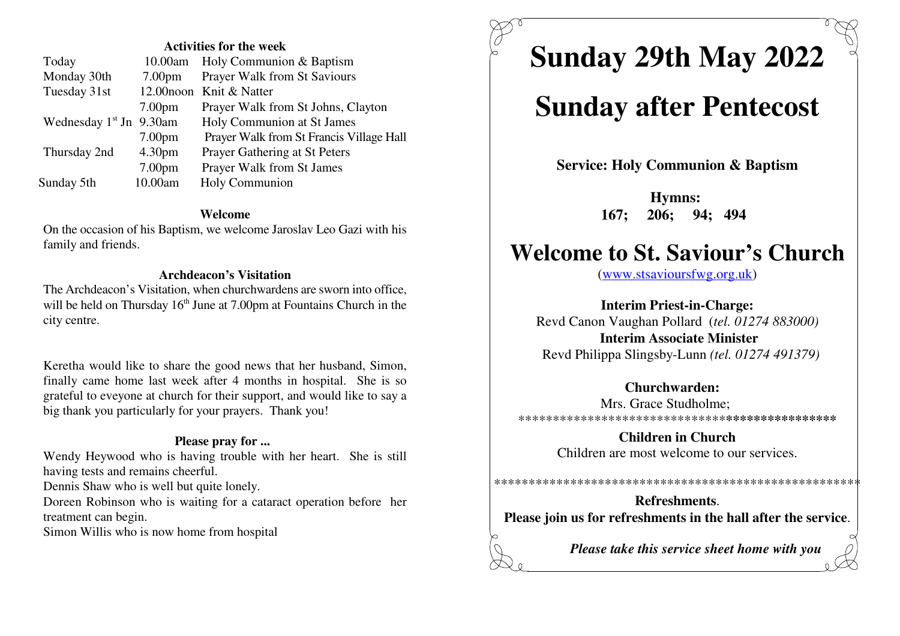#### **Activities for the week**

| Today                               |                    | 10.00am Holy Communion & Baptism         |
|-------------------------------------|--------------------|------------------------------------------|
| Monday 30th                         | 7.00 <sub>pm</sub> | <b>Prayer Walk from St Saviours</b>      |
| Tuesday 31st                        |                    | 12.00 noon Knit & Natter                 |
|                                     | 7.00 <sub>pm</sub> | Prayer Walk from St Johns, Clayton       |
| Wednesday 1 <sup>st</sup> Jn 9.30am |                    | Holy Communion at St James               |
|                                     | 7.00 <sub>pm</sub> | Prayer Walk from St Francis Village Hall |
| Thursday 2nd                        | 4.30 <sub>pm</sub> | Prayer Gathering at St Peters            |
|                                     | 7.00 <sub>pm</sub> | <b>Prayer Walk from St James</b>         |
| Sunday 5th                          | 10.00am            | Holy Communion                           |

#### **Welcome**

 On the occasion of his Baptism, we welcome Jaroslav Leo Gazi with hisfamily and friends.

#### **Archdeacon's Visitation**

 The Archdeacon's Visitation, when churchwardens are sworn into office,will be held on Thursday  $16<sup>th</sup>$  June at 7.00pm at Fountains Church in the city centre.

Keretha would like to share the good news that her husband, Simon, finally came home last week after 4 months in hospital. She is so grateful to eveyone at church for their support, and would like to say abig thank you particularly for your prayers. Thank you!

#### **Please pray for ...**

Wendy Heywood who is having trouble with her heart. She is stillhaving tests and remains cheerful.

Dennis Shaw who is well but quite lonely.

Doreen Robinson who is waiting for a cataract operation before hertreatment can begin.

Simon Willis who is now home from hospital

**Sunday 29th May 2022**

# **Sunday after Pentecost**

**Service: Holy Communion & Baptism**

**Hymns: 167; 206; 94; 494** 

## **Welcome to St. Saviour's Church**

(www.stsavioursfwg.org.uk)

**Interim Priest-in-Charge:** Revd Canon Vaughan Pollard (*tel. 01274 883000)***Interim Associate Minister**Revd Philippa Slingsby-Lunn *(tel. 01274 491379)*

#### **Churchwarden:**

 Mrs. Grace Studholme; \*\*\*\*\*\*\*\*\*\*\*\*\*\*\*\*\*\*\*\*\*\*\*\*\*\*\*\*\*\***\*\*\*\*\*\*\*\*\*\*\*\*\*\*\*\***

> **Children in Church**Children are most welcome to our services.

\*\*\*\*\*\*\*\*\*\*\*\*\*\*\*\*\*\*\*\*\*\*\*\*\*\*\*\*\*\*\*\*\*\*\*\*\*\*\*\*\*\*\*\*\*\*\*\*\*\*\*\*\*

**Refreshments**.**Please join us for refreshments in the hall after the service**.

*Please take this service sheet home with you*